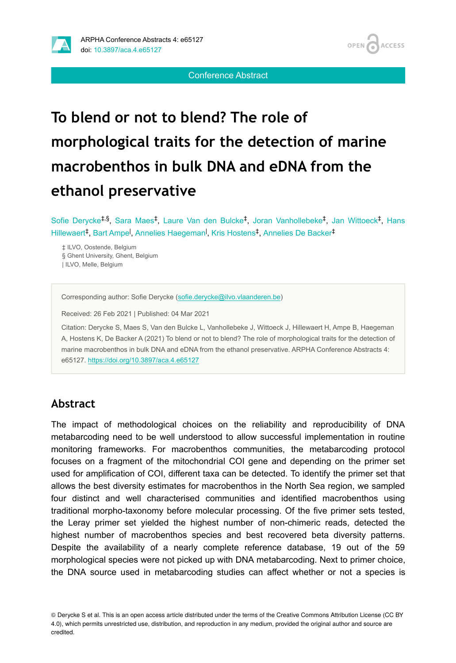

OPEN 4 **ACCESS** 

Conference Abstract

# **To blend or not to blend? The role of morphological traits for the detection of marine macrobenthos in bulk DNA and eDNA from the ethanol preservative**

Sofie Derycke<sup>‡,§</sup>, Sara Maes<sup>‡</sup>, Laure Van den Bulcke<sup>‡</sup>, Joran Vanhollebeke<sup>‡</sup>, Jan Wittoeck<sup>‡</sup>, Hans Hillewaert<sup>‡</sup>, Bart Ampe<sup>l</sup>, Annelies Haegeman<sup>l</sup>, Kris Hostens<sup>‡</sup>, Annelies De Backer<sup>‡</sup>

‡ ILVO, Oostende, Belgium § Ghent University, Ghent, Belgium | ILVO, Melle, Belgium

Corresponding author: Sofie Derycke [\(sofie.derycke@ilvo.vlaanderen.be\)](mailto:sofie.derycke@ilvo.vlaanderen.be)

Received: 26 Feb 2021 | Published: 04 Mar 2021

Citation: Derycke S, Maes S, Van den Bulcke L, Vanhollebeke J, Wittoeck J, Hillewaert H, Ampe B, Haegeman A, Hostens K, De Backer A (2021) To blend or not to blend? The role of morphological traits for the detection of marine macrobenthos in bulk DNA and eDNA from the ethanol preservative. ARPHA Conference Abstracts 4: e65127.<https://doi.org/10.3897/aca.4.e65127>

## **Abstract**

The impact of methodological choices on the reliability and reproducibility of DNA metabarcoding need to be well understood to allow successful implementation in routine monitoring frameworks. For macrobenthos communities, the metabarcoding protocol focuses on a fragment of the mitochondrial COI gene and depending on the primer set used for amplification of COI, different taxa can be detected. To identify the primer set that allows the best diversity estimates for macrobenthos in the North Sea region, we sampled four distinct and well characterised communities and identified macrobenthos using traditional morpho-taxonomy before molecular processing. Of the five primer sets tested, the Leray primer set yielded the highest number of non-chimeric reads, detected the highest number of macrobenthos species and best recovered beta diversity patterns. Despite the availability of a nearly complete reference database, 19 out of the 59 morphological species were not picked up with DNA metabarcoding. Next to primer choice, the DNA source used in metabarcoding studies can affect whether or not a species is

© Derycke S et al. This is an open access article distributed under the terms of the Creative Commons Attribution License (CC BY 4.0), which permits unrestricted use, distribution, and reproduction in any medium, provided the original author and source are credited.